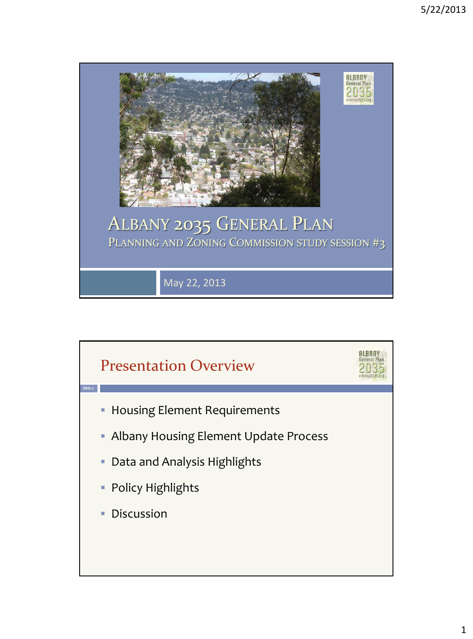

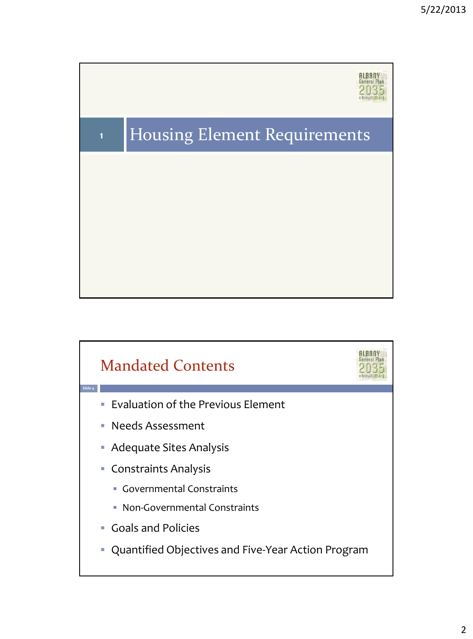

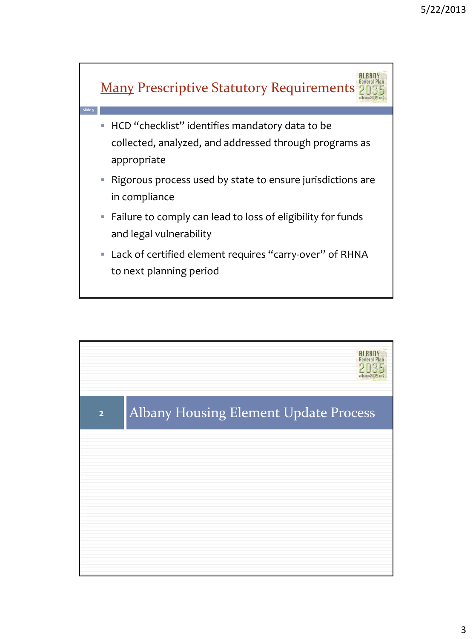

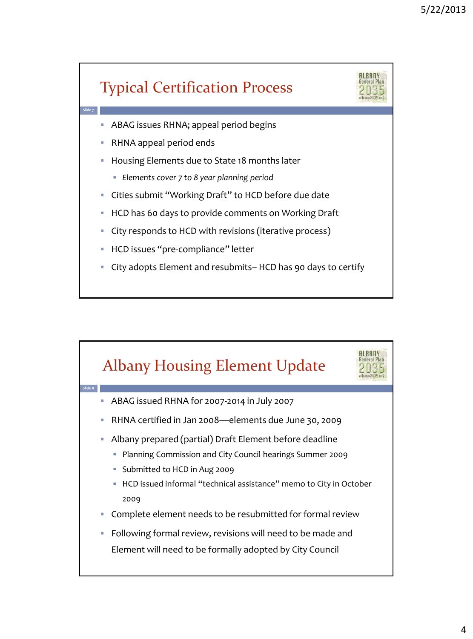

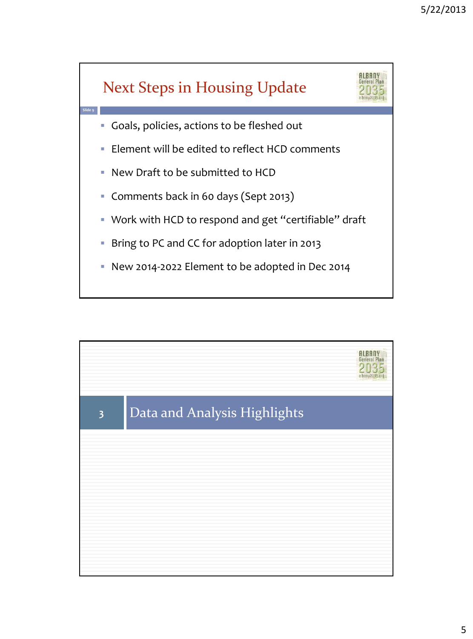

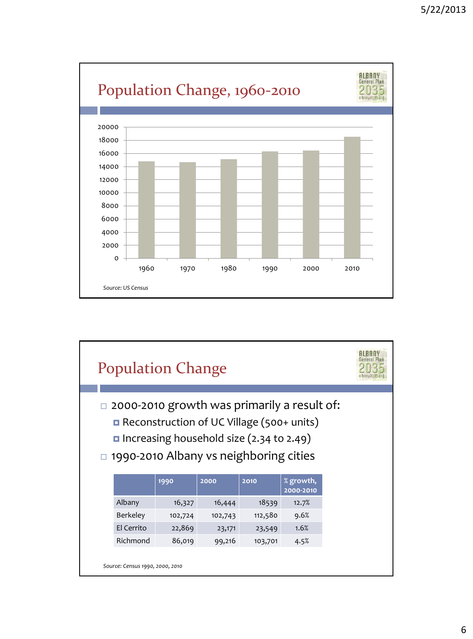

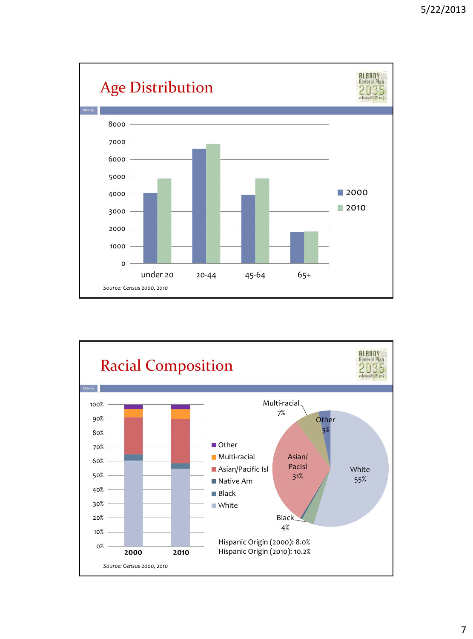

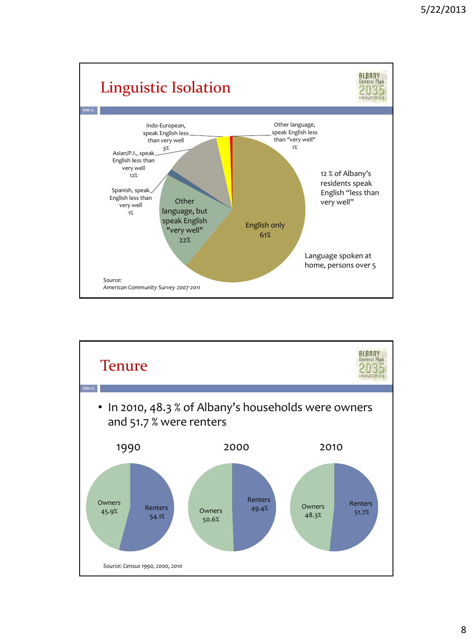

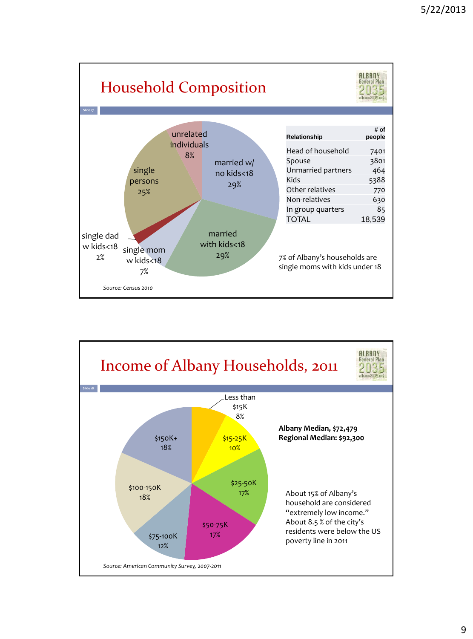

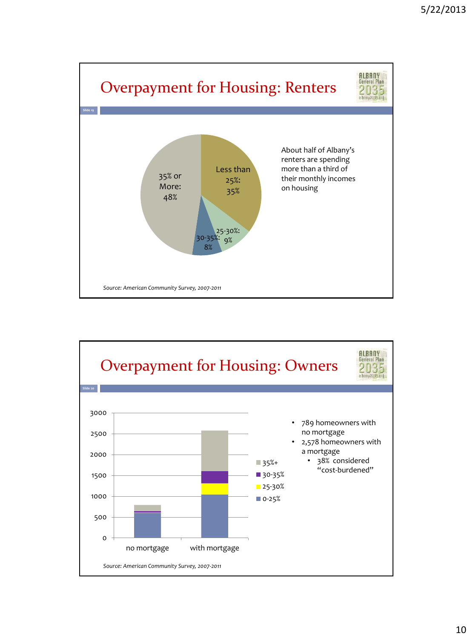

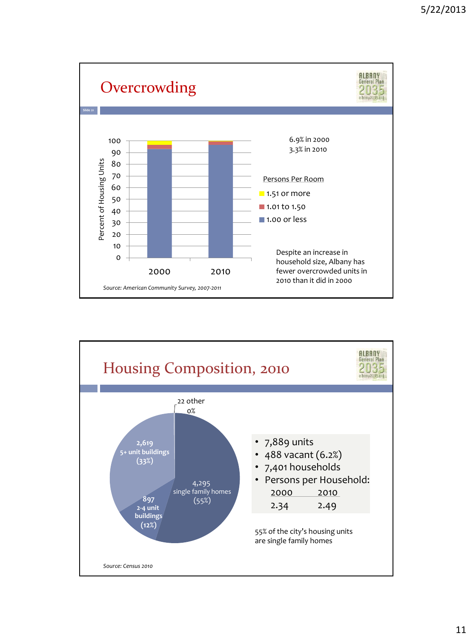

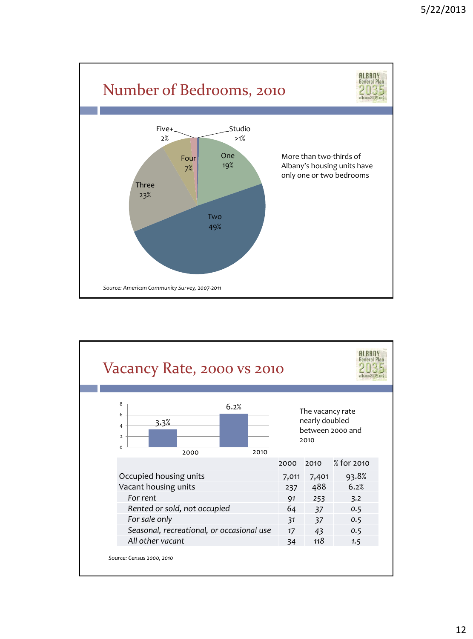

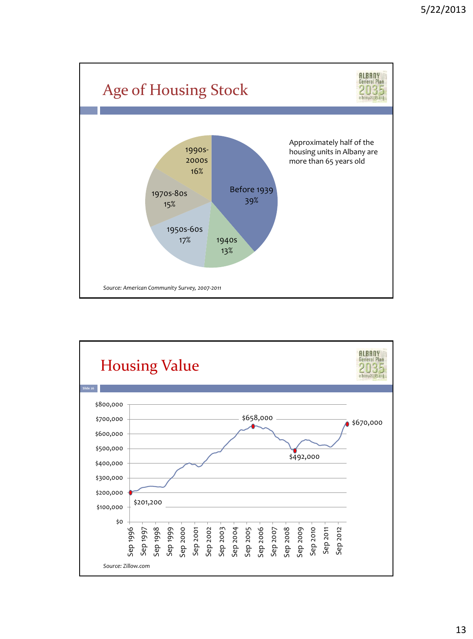

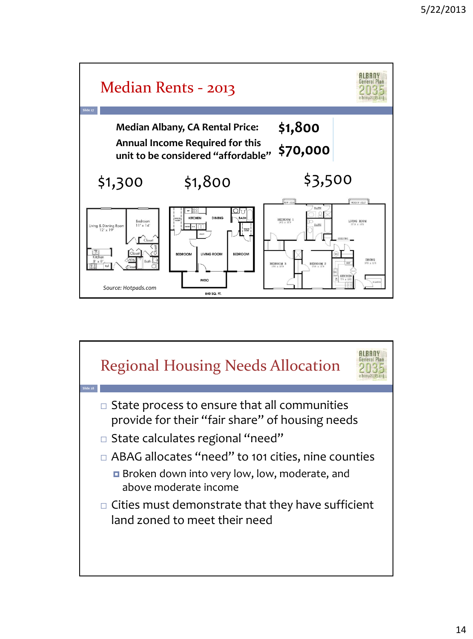

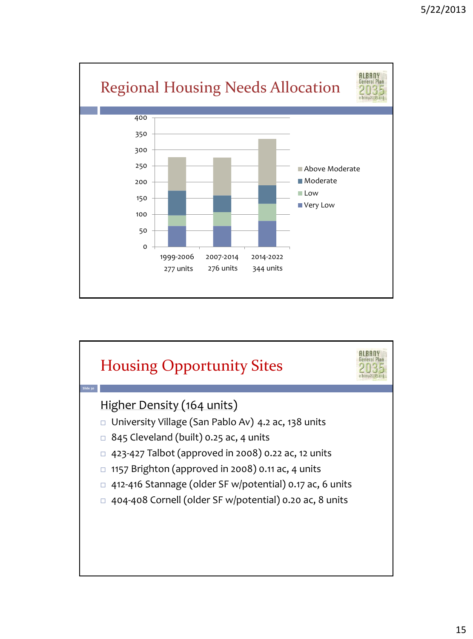

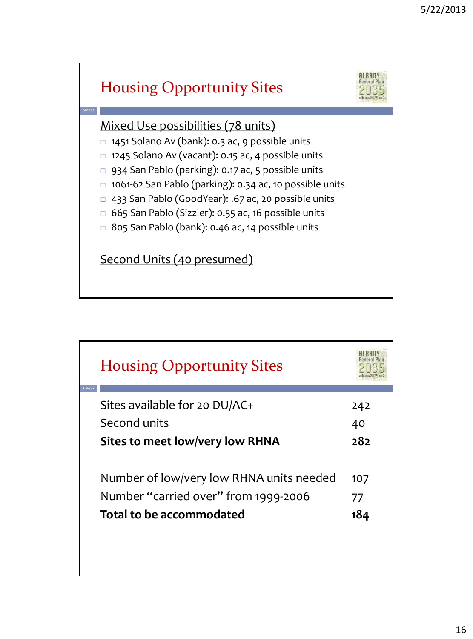

| <b>Housing Opportunity Sites</b><br>Slide 32 |     |
|----------------------------------------------|-----|
| Sites available for 20 DU/AC+                | 242 |
| Second units                                 | 40  |
| Sites to meet low/very low RHNA              | 282 |
| Number of low/very low RHNA units needed     | 107 |
| Number "carried over" from 1999-2006         | 77  |
| Total to be accommodated                     | 184 |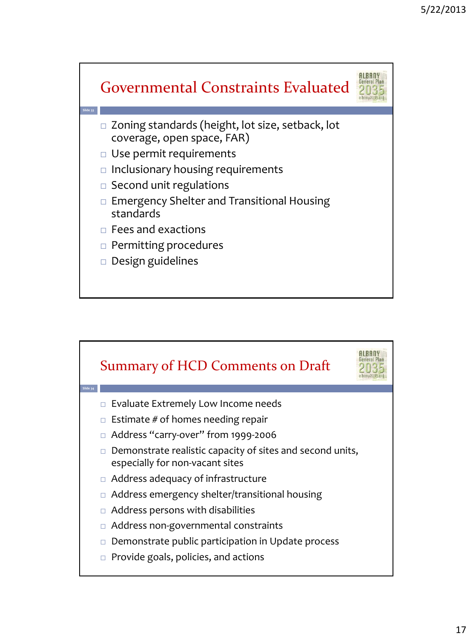

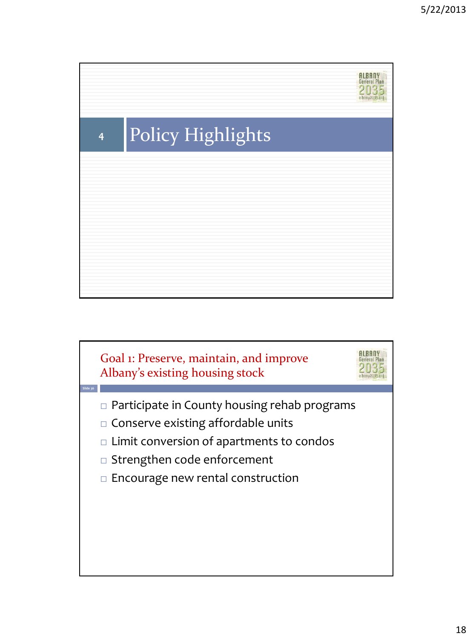

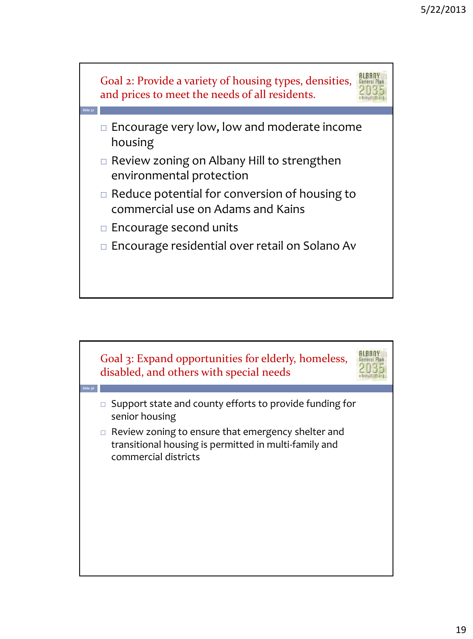

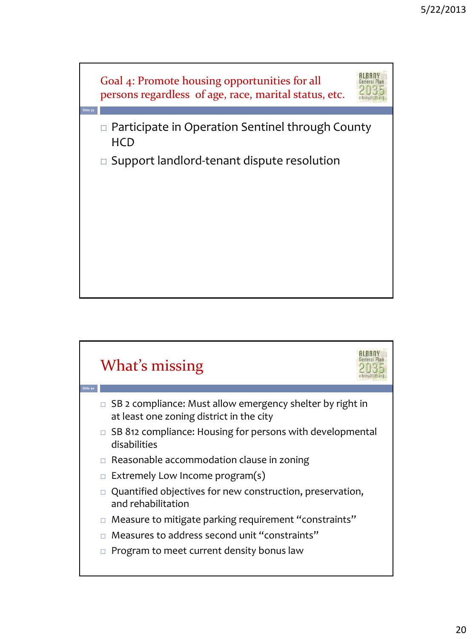

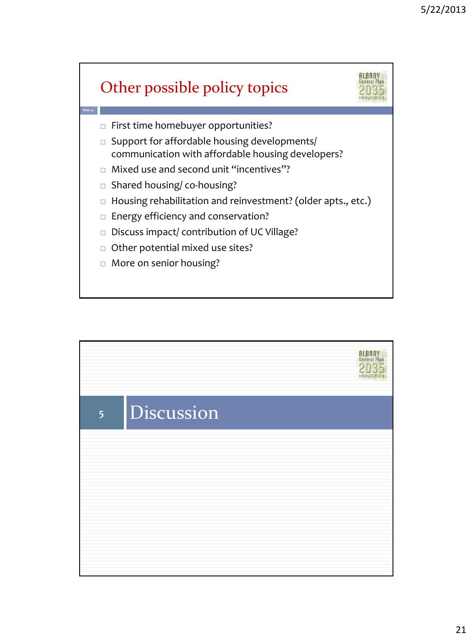